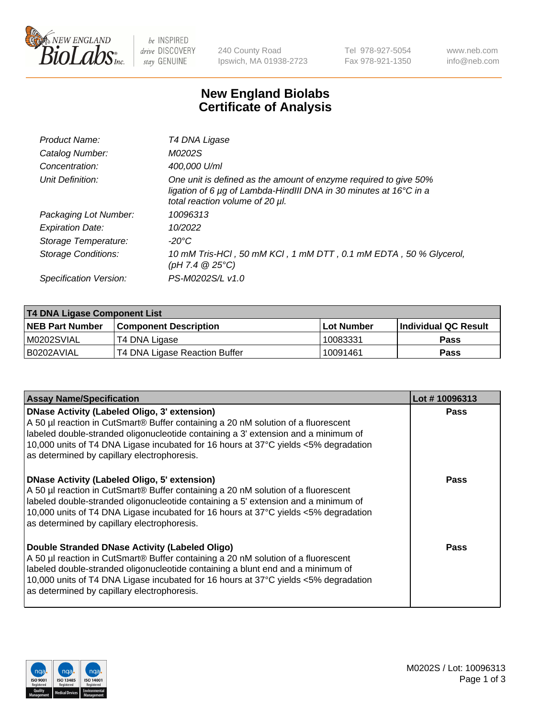

be INSPIRED drive DISCOVERY stay GENUINE

240 County Road Ipswich, MA 01938-2723 Tel 978-927-5054 Fax 978-921-1350 www.neb.com info@neb.com

## **New England Biolabs Certificate of Analysis**

| T4 DNA Ligase                                                                                                                                                            |
|--------------------------------------------------------------------------------------------------------------------------------------------------------------------------|
| M0202S                                                                                                                                                                   |
| 400,000 U/ml                                                                                                                                                             |
| One unit is defined as the amount of enzyme required to give 50%<br>ligation of 6 µg of Lambda-HindIII DNA in 30 minutes at 16°C in a<br>total reaction volume of 20 µl. |
| 10096313                                                                                                                                                                 |
| 10/2022                                                                                                                                                                  |
| -20°C                                                                                                                                                                    |
| 10 mM Tris-HCl, 50 mM KCl, 1 mM DTT, 0.1 mM EDTA, 50 % Glycerol,<br>(pH 7.4 $@25°C$ )                                                                                    |
| PS-M0202S/L v1.0                                                                                                                                                         |
|                                                                                                                                                                          |

| T4 DNA Ligase Component List |                               |              |                             |  |  |
|------------------------------|-------------------------------|--------------|-----------------------------|--|--|
| <b>NEB Part Number</b>       | <b>Component Description</b>  | l Lot Number | <b>Individual QC Result</b> |  |  |
| M0202SVIAL                   | T4 DNA Ligase                 | 10083331     | <b>Pass</b>                 |  |  |
| I B0202AVIAL                 | T4 DNA Ligase Reaction Buffer | 10091461     | <b>Pass</b>                 |  |  |

| <b>Assay Name/Specification</b>                                                                                                                                                                                                                                                                                                                               | Lot #10096313 |
|---------------------------------------------------------------------------------------------------------------------------------------------------------------------------------------------------------------------------------------------------------------------------------------------------------------------------------------------------------------|---------------|
| DNase Activity (Labeled Oligo, 3' extension)<br>A 50 µl reaction in CutSmart® Buffer containing a 20 nM solution of a fluorescent<br>labeled double-stranded oligonucleotide containing a 3' extension and a minimum of<br>10,000 units of T4 DNA Ligase incubated for 16 hours at 37°C yields <5% degradation<br>as determined by capillary electrophoresis. | <b>Pass</b>   |
| DNase Activity (Labeled Oligo, 5' extension)<br>A 50 µl reaction in CutSmart® Buffer containing a 20 nM solution of a fluorescent<br>labeled double-stranded oligonucleotide containing a 5' extension and a minimum of<br>10,000 units of T4 DNA Ligase incubated for 16 hours at 37°C yields <5% degradation<br>as determined by capillary electrophoresis. | Pass          |
| Double Stranded DNase Activity (Labeled Oligo)<br>A 50 µl reaction in CutSmart® Buffer containing a 20 nM solution of a fluorescent<br>abeled double-stranded oligonucleotide containing a blunt end and a minimum of<br>10,000 units of T4 DNA Ligase incubated for 16 hours at 37°C yields <5% degradation<br>as determined by capillary electrophoresis.   | Pass          |

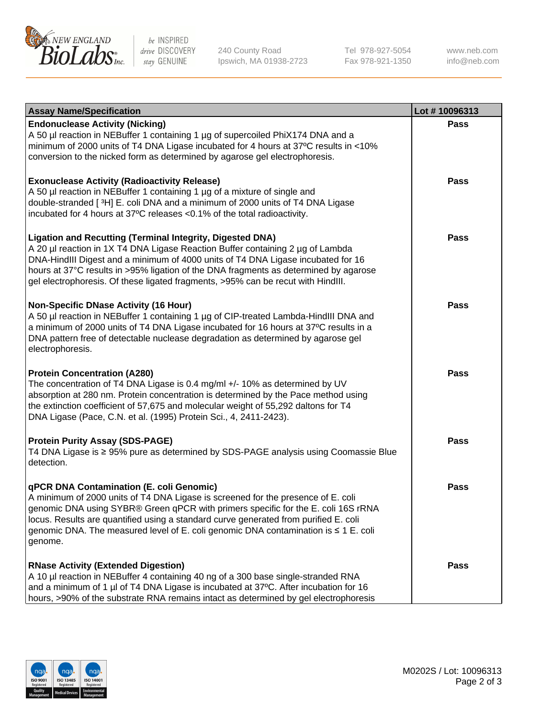

be INSPIRED drive DISCOVERY stay GENUINE

240 County Road Ipswich, MA 01938-2723 Tel 978-927-5054 Fax 978-921-1350

www.neb.com info@neb.com

| <b>Assay Name/Specification</b>                                                                                                                                                                                                                                                                                                                                                                                    | Lot #10096313 |
|--------------------------------------------------------------------------------------------------------------------------------------------------------------------------------------------------------------------------------------------------------------------------------------------------------------------------------------------------------------------------------------------------------------------|---------------|
| <b>Endonuclease Activity (Nicking)</b><br>A 50 µl reaction in NEBuffer 1 containing 1 µg of supercoiled PhiX174 DNA and a<br>minimum of 2000 units of T4 DNA Ligase incubated for 4 hours at 37°C results in <10%<br>conversion to the nicked form as determined by agarose gel electrophoresis.                                                                                                                   | <b>Pass</b>   |
| <b>Exonuclease Activity (Radioactivity Release)</b><br>A 50 µl reaction in NEBuffer 1 containing 1 µg of a mixture of single and<br>double-stranded [3H] E. coli DNA and a minimum of 2000 units of T4 DNA Ligase<br>incubated for 4 hours at 37°C releases <0.1% of the total radioactivity.                                                                                                                      | <b>Pass</b>   |
| <b>Ligation and Recutting (Terminal Integrity, Digested DNA)</b><br>A 20 µl reaction in 1X T4 DNA Ligase Reaction Buffer containing 2 µg of Lambda<br>DNA-HindIII Digest and a minimum of 4000 units of T4 DNA Ligase incubated for 16<br>hours at 37°C results in >95% ligation of the DNA fragments as determined by agarose<br>gel electrophoresis. Of these ligated fragments, >95% can be recut with HindIII. | <b>Pass</b>   |
| <b>Non-Specific DNase Activity (16 Hour)</b><br>A 50 µl reaction in NEBuffer 1 containing 1 µg of CIP-treated Lambda-HindIII DNA and<br>a minimum of 2000 units of T4 DNA Ligase incubated for 16 hours at 37°C results in a<br>DNA pattern free of detectable nuclease degradation as determined by agarose gel<br>electrophoresis.                                                                               | <b>Pass</b>   |
| <b>Protein Concentration (A280)</b><br>The concentration of T4 DNA Ligase is 0.4 mg/ml +/- 10% as determined by UV<br>absorption at 280 nm. Protein concentration is determined by the Pace method using<br>the extinction coefficient of 57,675 and molecular weight of 55,292 daltons for T4<br>DNA Ligase (Pace, C.N. et al. (1995) Protein Sci., 4, 2411-2423).                                                | <b>Pass</b>   |
| <b>Protein Purity Assay (SDS-PAGE)</b><br>T4 DNA Ligase is ≥ 95% pure as determined by SDS-PAGE analysis using Coomassie Blue<br>detection.                                                                                                                                                                                                                                                                        | <b>Pass</b>   |
| qPCR DNA Contamination (E. coli Genomic)<br>A minimum of 2000 units of T4 DNA Ligase is screened for the presence of E. coli<br>genomic DNA using SYBR® Green qPCR with primers specific for the E. coli 16S rRNA<br>locus. Results are quantified using a standard curve generated from purified E. coli<br>genomic DNA. The measured level of E. coli genomic DNA contamination is ≤ 1 E. coli<br>genome.        | Pass          |
| <b>RNase Activity (Extended Digestion)</b><br>A 10 µl reaction in NEBuffer 4 containing 40 ng of a 300 base single-stranded RNA<br>and a minimum of 1 µl of T4 DNA Ligase is incubated at 37°C. After incubation for 16<br>hours, >90% of the substrate RNA remains intact as determined by gel electrophoresis                                                                                                    | <b>Pass</b>   |